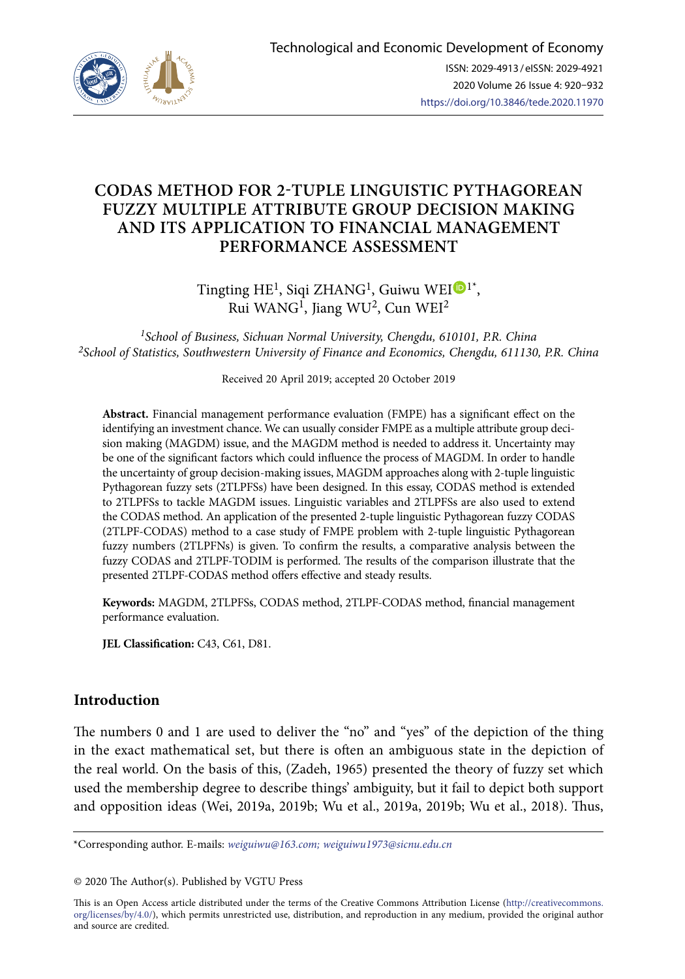

# **CODAS METHOD FOR 2-TUPLE LINGUISTIC PYTHAGOREAN FUZZY MULTIPLE ATTRIBUTE GROUP DECISION MAKING AND ITS APPLICATION TO FINANCIAL MANAGEMENT PERFORMANCE ASSESSMENT**

Tingting  $HE^1$  $HE^1$ , Siqi ZHANG<sup>1</sup>, Guiwu WEI  $\mathbb{D}^{1*}$ , Rui WANG1, Jiang WU2, Cun WEI2

*1School of Business, Sichuan Normal University, Chengdu, 610101, P.R. China 2School of Statistics, Southwestern University of Finance and Economics, Chengdu, 611130, P.R. China*

Received 20 April 2019; accepted 20 October 2019

**Abstract.** Financial management performance evaluation (FMPE) has a significant effect on the identifying an investment chance. We can usually consider FMPE as a multiple attribute group decision making (MAGDM) issue, and the MAGDM method is needed to address it. Uncertainty may be one of the significant factors which could influence the process of MAGDM. In order to handle the uncertainty of group decision-making issues, MAGDM approaches along with 2-tuple linguistic Pythagorean fuzzy sets (2TLPFSs) have been designed. In this essay, CODAS method is extended to 2TLPFSs to tackle MAGDM issues. Linguistic variables and 2TLPFSs are also used to extend the CODAS method. An application of the presented 2-tuple linguistic Pythagorean fuzzy CODAS (2TLPF-CODAS) method to a case study of FMPE problem with 2-tuple linguistic Pythagorean fuzzy numbers (2TLPFNs) is given. To confirm the results, a comparative analysis between the fuzzy CODAS and 2TLPF-TODIM is performed. The results of the comparison illustrate that the presented 2TLPF-CODAS method offers effective and steady results.

**Keywords:** MAGDM, 2TLPFSs, CODAS method, 2TLPF-CODAS method, financial management performance evaluation.

JEL Classification: C43, C61, D81.

## **Introduction**

The numbers 0 and 1 are used to deliver the "no" and "yes" of the depiction of the thing in the exact mathematical set, but there is often an ambiguous state in the depiction of the real world. On the basis of this, (Zadeh, 1965) presented the theory of fuzzy set which used the membership degree to describe things' ambiguity, but it fail to depict both support and opposition ideas (Wei, 2019a, 2019b; Wu et al., 2019a, 2019b; Wu et al., 2018). Thus,

This is an Open Access article distributed under the terms of the Creative Commons Attribution License ([http://creativecommons.](http://dx.doi.org/10.1016/S0377-2217(03)00091-2) [org/licenses/by/4.0/\)](http://dx.doi.org/10.1016/S0377-2217(03)00091-2), which permits unrestricted use, distribution, and reproduction in any medium, provided the original author and source are credited.

<sup>\*</sup>Corresponding author. E-mails: *[weiguiwu@163.com](mailto:weiguiwu@163.com); weiguiwu1973@sicnu.edu.cn*

<sup>© 2020</sup> The Author(s). Published by VGTU Press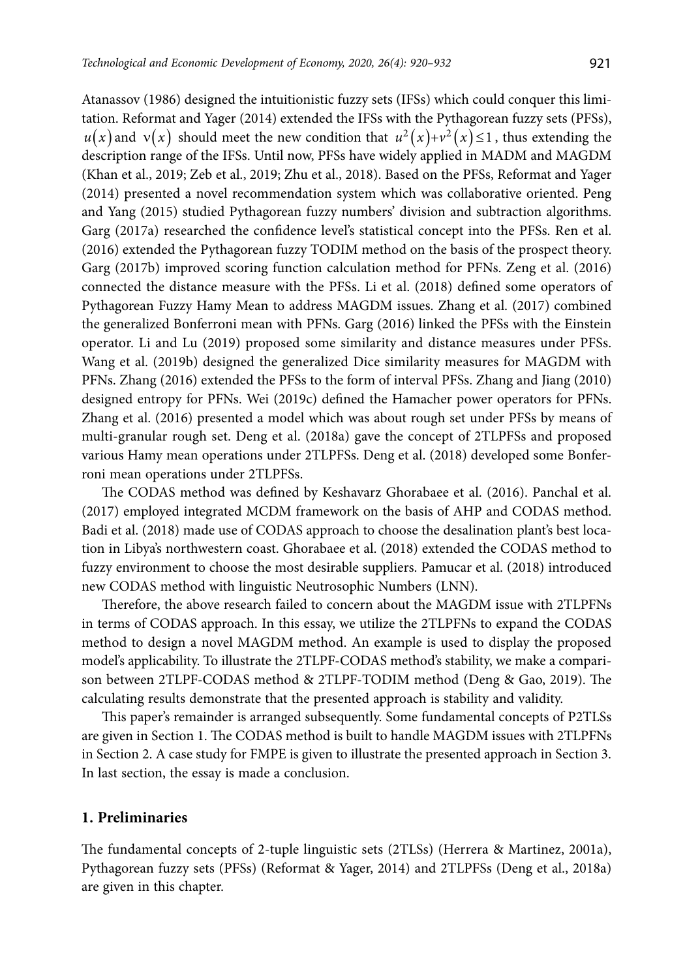Atanassov (1986) designed the intuitionistic fuzzy sets (IFSs) which could conquer this limitation. Reformat and Yager (2014) extended the IFSs with the Pythagorean fuzzy sets (PFSs),  $u(x)$  and  $v(x)$  should meet the new condition that  $u^2(x)+v^2(x) \leq 1$ , thus extending the description range of the IFSs. Until now, PFSs have widely applied in MADM and MAGDM (Khan et al., 2019; Zeb et al., 2019; Zhu et al., 2018). Based on the PFSs, Reformat and Yager (2014) presented a novel recommendation system which was collaborative oriented. Peng and Yang (2015) studied Pythagorean fuzzy numbers' division and subtraction algorithms. Garg (2017a) researched the confidence level's statistical concept into the PFSs. Ren et al. (2016) extended the Pythagorean fuzzy TODIM method on the basis of the prospect theory. Garg (2017b) improved scoring function calculation method for PFNs. Zeng et al. (2016) connected the distance measure with the PFSs. Li et al. (2018) defined some operators of Pythagorean Fuzzy Hamy Mean to address MAGDM issues. Zhang et al. (2017) combined the generalized Bonferroni mean with PFNs. Garg (2016) linked the PFSs with the Einstein operator. Li and Lu (2019) proposed some similarity and distance measures under PFSs. Wang et al. (2019b) designed the generalized Dice similarity measures for MAGDM with PFNs. Zhang (2016) extended the PFSs to the form of interval PFSs. Zhang and Jiang (2010) designed entropy for PFNs. Wei (2019c) defined the Hamacher power operators for PFNs. Zhang et al. (2016) presented a model which was about rough set under PFSs by means of multi-granular rough set. Deng et al. (2018a) gave the concept of 2TLPFSs and proposed various Hamy mean operations under 2TLPFSs. Deng et al. (2018) developed some Bonferroni mean operations under 2TLPFSs.

The CODAS method was defined by Keshavarz Ghorabaee et al. (2016). Panchal et al. (2017) employed integrated MCDM framework on the basis of AHP and CODAS method. Badi et al. (2018) made use of CODAS approach to choose the desalination plant's best location in Libya's northwestern coast. Ghorabaee et al. (2018) extended the CODAS method to fuzzy environment to choose the most desirable suppliers. Pamucar et al. (2018) introduced new CODAS method with linguistic Neutrosophic Numbers (LNN).

Therefore, the above research failed to concern about the MAGDM issue with 2TLPFNs in terms of CODAS approach. In this essay, we utilize the 2TLPFNs to expand the CODAS method to design a novel MAGDM method. An example is used to display the proposed model's applicability. To illustrate the 2TLPF-CODAS method's stability, we make a comparison between 2TLPF-CODAS method & 2TLPF-TODIM method (Deng & Gao, 2019). The calculating results demonstrate that the presented approach is stability and validity.

This paper's remainder is arranged subsequently. Some fundamental concepts of P2TLSs are given in Section 1. The CODAS method is built to handle MAGDM issues with 2TLPFNs in Section 2. A case study for FMPE is given to illustrate the presented approach in Section 3. In last section, the essay is made a conclusion.

## **1. Preliminaries**

The fundamental concepts of 2-tuple linguistic sets (2TLSs) (Herrera & Martinez, 2001a), Pythagorean fuzzy sets (PFSs) (Reformat & Yager, 2014) and 2TLPFSs (Deng et al., 2018a) are given in this chapter.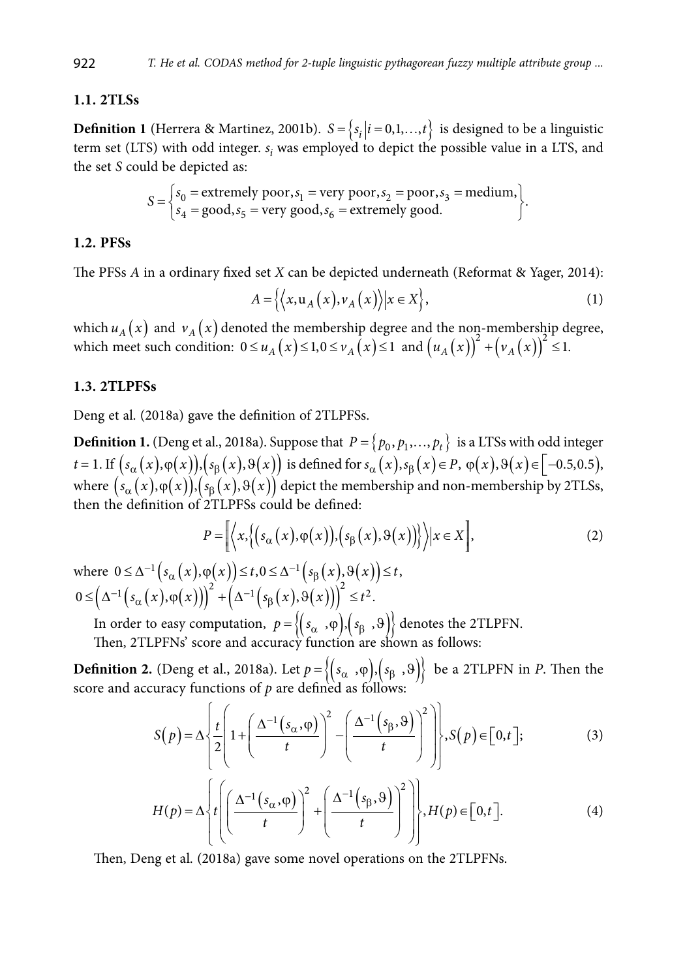### **1.1. 2TLSs**

**Definition 1** (Herrera & Martinez, 2001b).  $S = \{s_i | i = 0, 1, ..., t\}$  is designed to be a linguistic term set (LTS) with odd integer.  $s_i$  was employed to depict the possible value in a LTS, and the set *S* could be depicted as:

$$
S = \begin{cases} s_0 = \text{extremely poor}, s_1 = \text{very poor}, s_2 = \text{poor}, s_3 = \text{medium}, \\ s_4 = \text{good}, s_5 = \text{very good}, s_6 = \text{extremely good.} \end{cases}
$$

#### **1.2. PFSs**

The PFSs *A* in a ordinary fixed set *X* can be depicted [underneath](http://www.youdao.com/w/underneath/#keyfrom=E2Ctranslation) (Reformat & Yager, 2014):

$$
A = \left\{ \left\langle x, u_A(x), v_A(x) \right\rangle | x \in X \right\},\tag{1}
$$

which  $u_A(x)$  and  $v_A(x)$  denoted the membership degree and the non-membership degree, which meet such condition:  $0 \le u_A(x) \le 1, 0 \le v_A(x) \le 1$  and  $(u_A(x))^2 + (v_A(x))^2 \le 1$ .

### **1.3. 2TLPFSs**

Deng et al. (2018a) gave the definition of 2TLPFSs.

**Definition 1.** (Deng et al., 2018a). Suppose that  $P = \{p_0, p_1, \ldots, p_t\}$  is a LTSs with odd integer  $t = 1$ . If  $(s_\alpha(x), \varphi(x))$ ,  $(s_\beta(x), \vartheta(x))$  is defined for  $s_\alpha(x), s_\beta(x) \in P$ ,  $\varphi(x), \vartheta(x) \in [-0.5, 0.5)$ , where  $(s_\alpha(x), \varphi(x)), (s_\beta(x), \vartheta(x))$  depict the membership and non-membership by 2TLSs, then the definition of 2TLPFSs could be defined:

$$
P = \left[ \left\langle x, \left\{ (s_{\alpha}(x), \varphi(x)), (s_{\beta}(x), \vartheta(x)) \right\} \right\rangle | x \in X \right],
$$
 (2)

where  $0 \leq \Delta^{-1} ( s_{\alpha}(x), \varphi(x) ) \leq t, 0 \leq \Delta^{-1} ( s_{\beta}(x), \vartheta(x) ) \leq t,$  $0 \leq (\Delta^{-1}(s_{\alpha}(x), \varphi(x)))^{2} + (\Delta^{-1}(s_{\beta}(x), \vartheta(x)))^{2} \leq t^{2}.$ 

In order to easy computation,  $p = \{(s_\alpha, \phi), (s_\beta, \phi)\}$  denotes the 2TLPFN.

Then, 2TLPFNs' score and accuracy function are shown as follows:

**Definition 2.** (Deng et al., 2018a). Let  $p = \{(s_\alpha, \phi), (s_\beta, \phi)\}\)$  be a 2TLPFN in *P*. Then the score and accuracy functions of *p* are defined as follows:

$$
S(p) = \Delta \left\{ \frac{t}{2} \left( 1 + \left( \frac{\Delta^{-1}(s_{\alpha}, \varphi)}{t} \right)^2 - \left( \frac{\Delta^{-1}(s_{\beta}, \varphi)}{t} \right)^2 \right) \right\}, S(p) \in [0, t];
$$
 (3)

$$
H(p) = \Delta \left\{ t \left[ \left( \frac{\Delta^{-1}(s_{\alpha}, \varphi)}{t} \right)^2 + \left( \frac{\Delta^{-1}(s_{\beta}, \varphi)}{t} \right)^2 \right] \right\}, H(p) \in [0, t].
$$
 (4)

Then, Deng et al. (2018a) gave some novel operations on the 2TLPFNs.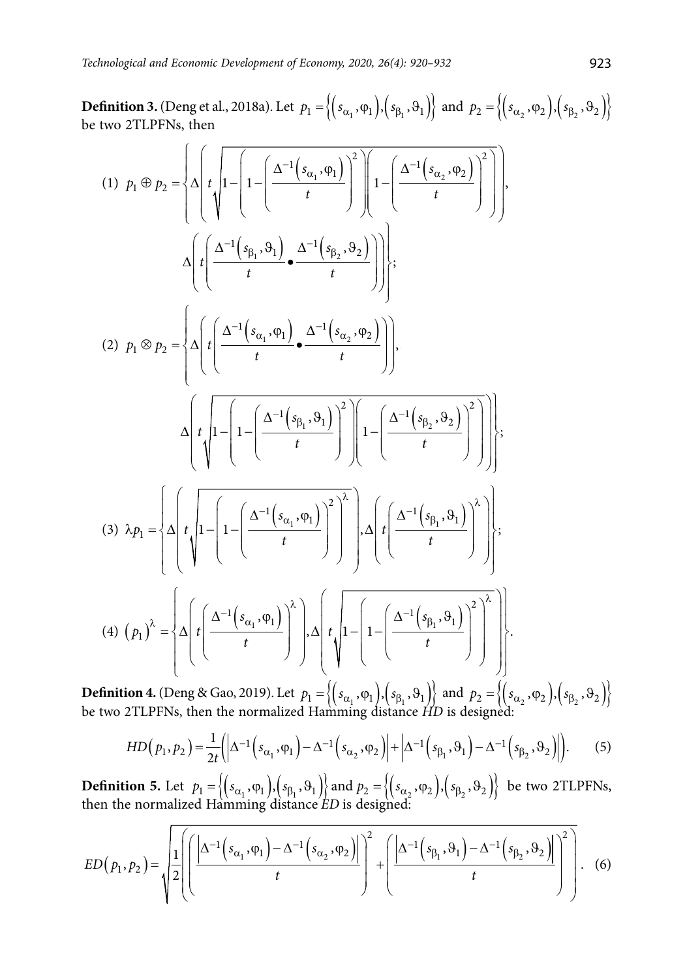**Definition 3.** (Deng et al., 2018a). Let  $p_1 = \{(s_{\alpha_1}, \varphi_1), (s_{\beta_1}, \vartheta_1)\}$  and  $p_2 = \{(s_{\alpha_2}, \varphi_2), (s_{\beta_2}, \vartheta_2)\}$ be two 2TLPFNs, then

$$
(1) \quad p_1 \oplus p_2 = \left\{ \Delta \left( t \sqrt{1 - \left( 1 - \left( \frac{\Delta^{-1} \left( s_{\alpha_1}, \varphi_1 \right)}{t} \right)^2 \right) \left( 1 - \left( \frac{\Delta^{-1} \left( s_{\alpha_2}, \varphi_2 \right)}{t} \right)^2 \right) \right\}},
$$
\n
$$
\Delta \left( t \left( \frac{\Delta^{-1} \left( s_{\beta_1}, s_1 \right)}{t} \cdot \frac{\Delta^{-1} \left( s_{\beta_2}, s_2 \right)}{t} \right) \right) \right\};
$$
\n
$$
(2) \quad p_1 \otimes p_2 = \left\{ \Delta \left( t \left( \frac{\Delta^{-1} \left( s_{\alpha_1}, \varphi_1 \right)}{t} \cdot \frac{\Delta^{-1} \left( s_{\alpha_2}, \varphi_2 \right)}{t} \right) \right),
$$
\n
$$
\Delta \left( t \sqrt{1 - \left( 1 - \left( \frac{\Delta^{-1} \left( s_{\beta_1}, s_1 \right)}{t} \right)^2 \right) \left( 1 - \left( \frac{\Delta^{-1} \left( s_{\beta_2}, s_2 \right)}{t} \right)^2 \right) \right\};
$$
\n
$$
(3) \quad \lambda p_1 = \left\{ \Delta \left( t \sqrt{1 - \left( 1 - \left( \frac{\Delta^{-1} \left( s_{\alpha_1}, \varphi_1 \right)}{t} \right)^2 \right)^2}, \Delta \left( t \left( \frac{\Delta^{-1} \left( s_{\beta_1}, s_1 \right)}{t} \right)^2 \right) \right\};
$$
\n
$$
(4) \quad (p_1)^{\lambda} = \left\{ \Delta \left( t \left( \frac{\Delta^{-1} \left( s_{\alpha_1}, \varphi_1 \right)}{t} \right)^{\lambda}, \Delta \left( t \sqrt{1 - \left( 1 - \left( \frac{\Delta^{-1} \left( s_{\beta_1}, s_1 \right)}{t} \right)^2 \right)^2} \right) \right\} \right\}.
$$

**Definition 4.** (Deng & Gao, 2019). Let  $p_1 = \{(s_{\alpha_1}, \varphi_1), (s_{\beta_1}, \vartheta_1)\}$  and  $p_2 = \{(s_{\alpha_2}, \varphi_2), (s_{\beta_2}, \vartheta_2)\}$ be two 2TLPFNs, then the normalized Hamming distance *HD* is designed:

$$
HD(p_1, p_2) = \frac{1}{2t} \left( \left| \Delta^{-1} \left( s_{\alpha_1}, \varphi_1 \right) - \Delta^{-1} \left( s_{\alpha_2}, \varphi_2 \right) \right| + \left| \Delta^{-1} \left( s_{\beta_1}, \vartheta_1 \right) - \Delta^{-1} \left( s_{\beta_2}, \vartheta_2 \right) \right| \right).
$$
 (5)

**Definition 5.** Let  $p_1 = \left\{ (s_{\alpha_1}, \varphi_1), (s_{\beta_1}, \vartheta_1) \right\}$  and  $p_2 = \left\{ (s_{\alpha_2}, \varphi_2), (s_{\beta_2}, \vartheta_2) \right\}$  be two 2TLPFNs, then the normalized Hamming distance *ED* is designed:

$$
ED(p_1, p_2) = \sqrt{\frac{1}{2} \left( \left( \frac{\left| \Delta^{-1} (s_{\alpha_1}, \varphi_1) - \Delta^{-1} (s_{\alpha_2}, \varphi_2) \right|}{t} \right)^2 + \left( \frac{\left| \Delta^{-1} (s_{\beta_1}, \varphi_1) - \Delta^{-1} (s_{\beta_2}, \varphi_2) \right|}{t} \right)^2 \right)}.
$$
 (6)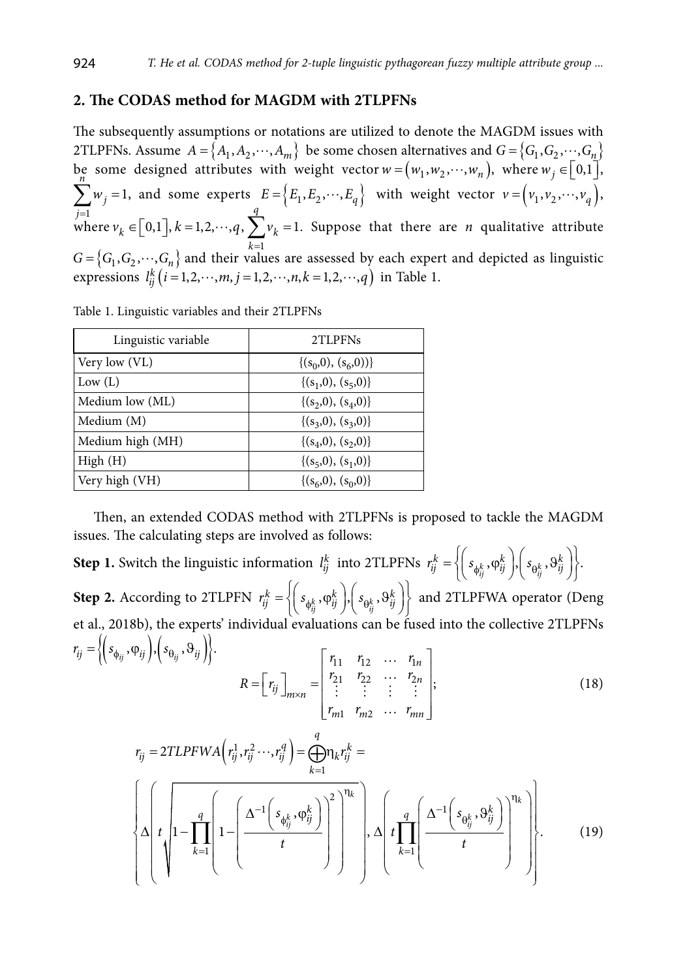## **2. The CODAS method for MAGDM with 2TLPFNs**

The subsequently assumptions or notations are utilized to denote the MAGDM issues with 2TLPFNs. Assume  $A = \{A_1, A_2, \dots, A_m\}$  be some chosen alternatives and  $G = \{G_1, G_2, \dots, G_n\}$ be some designed attributes with weight vector  $w = (w_1, w_2, \dots, w_n)$ , where  $w_j \in [0,1]$ , 1 *j* = 1 *n*  $\sum_{j=1}^{n} w_j = 1$ , and some experts  $E = \left\{ E_1, E_2, \dots, E_q \right\}$  with weight vector  $v = \left( v_1, v_2, \dots, v_q \right)$ , where  $v_k \in [0,1]$ ,  $k = 1,2,\dots, q$ ,  $\sum v_k = 1$ . Suppose that there are *n* qualitative attribute  $G = \{G_1, G_2, \dots, G_n\}$  and their values are assessed by each expert and depicted as linguistic expressions  $l_{ij}^k(i = 1, 2, \dots, m, j = 1, 2, \dots, n, k = 1, 2, \dots, q)$  in Table 1.

Table 1. Linguistic variables and their 2TLPFNs

| Linguistic variable | 2TLPFNs                 |
|---------------------|-------------------------|
| Very low (VL)       | $\{(s_0,0), (s_6,0)\}\$ |
| Low (L)             | $\{(s_1,0), (s_5,0)\}\$ |
| Medium low (ML)     | $\{(s_2,0), (s_4,0)\}\$ |
| Medium (M)          | $\{(s_3,0), (s_3,0)\}\$ |
| Medium high (MH)    | $\{(s_4,0), (s_2,0)\}\$ |
| High(H)             | $\{(s_5,0), (s_1,0)\}\$ |
| Very high (VH)      | $\{(s_6,0), (s_0,0)\}\$ |

Then, an extended CODAS method with 2TLPFNs is proposed to tackle the MAGDM issues. The calculating steps are involved as follows:

**Step 1.** Switch the linguistic information  $l_{ij}^k$  into 2TLPFNs  $r_{ij}^k = \left\{ \left( s_{\phi_{ij}^k}, \phi_{ij}^k \right), \left( s_{\theta_{ij}^k} \right) \right\}$  $r_{ij}^k = \left\{ \left( s_{\phi_{ij}^k}, \phi_{ij}^k \right), \left( s_{\theta_{ij}^k}, \theta_{ij}^k \right) \right\}.$ **Step 2.** According to 2TLPFN  $r_{ij}^k = \left\{ \left[ s_{\phi_{ij}^k}, \phi_{ij}^k \right], \left[ s_{\theta_{ij}^k} \right] \right\}$  $r_{ij}^k = \left\{ \left( s_{\phi_{ij}^k}, \phi_{ij}^k \right), \left( s_{\theta_{ij}^k}, \theta_{ij}^k \right) \right\}$  and 2TLPFWA operator (Deng et al., 2018b), the experts' individual evaluations can be fused into the collective 2TLPFNs  $r_{ij} = \left\langle \left( s_{\phi_{ij}}, \varphi_{ij} \right) , \left( s_{\theta_{ij}}, \vartheta_{ij} \right) \right\rangle.$   $\left\{ r_{11} \quad r_{12} \quad \cdots \quad r_1 \right\}$ 21  $\frac{1}{22}$   $\cdots$   $\frac{1}{2}$  $1 \t m2$ ; *n*  $f_{ij}$   $\Big|_{m \times n} = \Big|_{i}^{i} \begin{matrix} 21 & i_{22}^{i} & \cdots & i_{2n}^{i} \\ \vdots & \vdots & \vdots & \vdots \end{matrix}$  $m1$   $m2$   $\cdots$   $m$  $r_{11}$   $r_{12}$  ... *r*  $R = \begin{bmatrix} r_{ii} \end{bmatrix}$   $= \begin{bmatrix} r_{21} & r_{22} & \cdots & r_{n} \end{bmatrix}$  $r_{m1}$   $r_{m2}$   $\ldots$  *r* ×  $r_{11}$   $r_{12}$  ...  $r_{1n}$  $=[r_{ij}]_{m \times n} = \begin{bmatrix} r_1 & r_2 & \dots & r_{2n} \\ r_{21} & r_{22} & \dots & r_{2n} \\ \vdots & \vdots & \vdots & \vdots \end{bmatrix}$  $\begin{bmatrix} r_{m1} & r_{m2} & \cdots & r_{mn} \end{bmatrix}$  $\cdots$  $\cdots$ : : : :  $\cdots$ (18) 2TLPFWA $\left( r_{ij}^1, r_{ij}^2 \cdots, r_{ij}^q \right)$ 1  $r_{ij} = 2TLPFWA\left(r_{ij}^1, r_{ij}^2 \cdots, r_{ij}^q\right) = \bigoplus^q n_k r_{ij}^k =$ *k* = 2  $1 s \cdot \omega^k$  | | |  $a \cdot \Lambda^{-1}$ 1 1  $\mathfrak{g}, \varphi_{ii}^k$  | | | |  $q$  |  $\Delta^{-1}$  |  $s_{\alpha k}$ 1 1 , .  $k \left( \left( \left( \begin{array}{cc} 0 & 0 \end{array} \right) \right)^{\eta_k} \right)$  $\begin{array}{c} \begin{array}{c} k \\ i \end{array} \end{array}$   $\begin{array}{c} \begin{array}{c} \end{array}$   $\begin{array}{c} \begin{array}{c} \end{array} \end{array}$   $\begin{array}{c} \begin{array}{c} \end{array}$   $\begin{array}{c} \begin{array}{c} \end{array} \end{array}$   $\begin{array}{c} \begin{array}{c} \end{array} \end{array}$   $\begin{array}{c} \begin{array}{c} \end{array} \end{array}$   $\begin{array}{c} \begin{array}{c} \end{array} \end{array}$  $\mathbf{g}$   $\left[\begin{array}{c|c} \Delta^{-1} & s_{\varphi_k^k}, \varphi_{ij}^k \end{array}\right]$   $\left[\begin{array}{c|c} & & q \end{array}\right]$   $\Delta^{-1}$   $\mathbf{g}_{\varphi_k^k}, \vartheta_{ij}^k$ *k k*  $s_{\phi k}$ ,  $\varphi_{ii}^k$  | | | | *q* |  $\Delta^{-1}$ | *s*  $t \left( \left| \begin{matrix} 1 \\ -1 \end{matrix} \right| \right) \left| \begin{matrix} 1 \\ -1 \end{matrix} \right| \left| \begin{matrix} -\frac{1}{2} & \frac{1}{2} \\ \frac{1}{2} & -\frac{1}{2} \end{matrix} \right| \left| \begin{matrix} 1 \\ -1 \end{matrix} \right| \left| \begin{matrix} 1 \\ -1 \end{matrix} \right| \left| \begin{matrix} -\frac{1}{2} \\ -\frac{1}{2} \end{matrix} \right|$  $\eta_k$   $($  (  $($   $)$ )  $\left[\begin{array}{c} -1 \end{array}\right] \left[\begin{array}{c} s_{\phi_E^k}, \phi_{ij}^k \end{array}\right] \left[\begin{array}{c} \end{array}\right] \left[\begin{array}{c} \end{array}\right] \left[\begin{array}{c} \frac{q}{\sqrt{2}} \end{array}\right] \Delta^{-1} \left[\begin{array}{c} s_{\theta_k} \end{array}\right]$ = =  $\left\{\Delta\left(t\left|1-\prod_{k=1}^{q}\left(1-\left(\frac{\Delta^{-1}\left(s_{\phi_{ij}^k}, \phi_{ij}^k\right)}{t}\right)^2\right|^{\eta_k}\right)\right\},\Delta\left(t\prod_{k=1}^{q}\left(\frac{\Delta^{-1}\left(s_{\phi_{ij}^k}, \vartheta_{ij}^k\right)}{t}\right)^{\eta_k}\right)\right\}$  $\prod_{t=1}^{n} \left| 1 - \left| \frac{\left( \begin{array}{c} \psi_{ij} & \psi_j \end{array} \right)}{t} \right| \right| = \left| \begin{array}{c} \lambda & t \end{array} \right| \prod_{t=1}^{n} \left| \frac{\left( \begin{array}{c} \psi_{ij} & \psi_j \end{array} \right)}{t} \right| = \left| \begin{array}{c} \lambda \\ \lambda \end{array} \right|$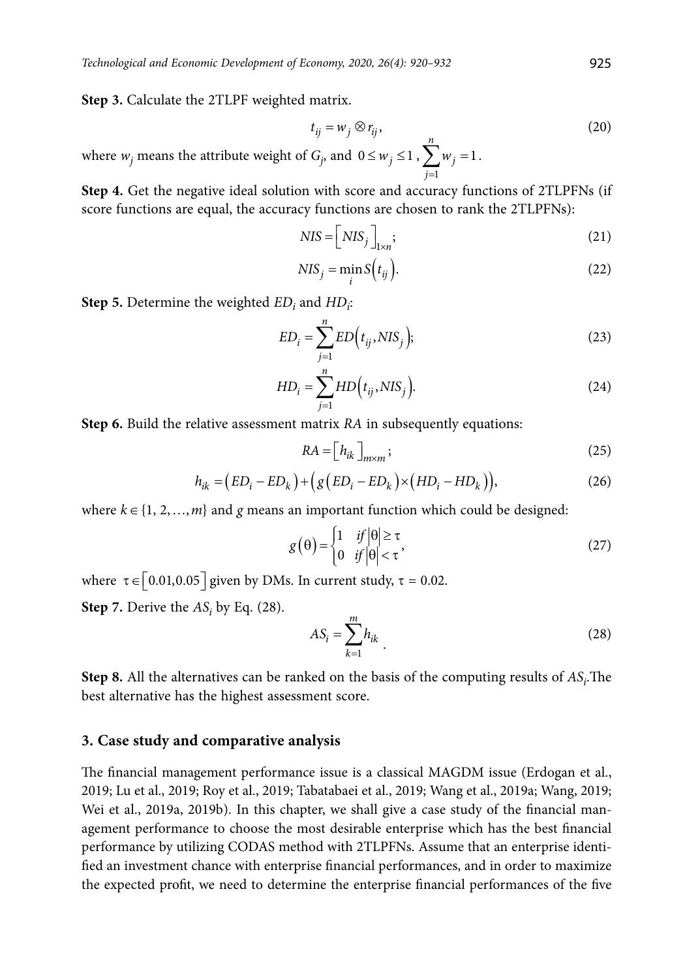**Step 3.** Calculate the 2TLPF weighted matrix.

$$
t_{ij} = w_j \otimes r_{ij},\tag{20}
$$

where  $w_j$  means the attribute weight of  $G_j$ , and  $0 \leq w_j \leq 1$ , 1 1 *j j w*  $\sum_{j=1} w_j = 1.$ 

**Step 4.** Get the negative ideal solution with score and accuracy functions of 2TLPFNs (if score functions are equal, the accuracy functions are chosen to rank the 2TLPFNs):

$$
NIS = \left[ NIS_j \right]_{1 \times n};\tag{21}
$$

$$
NIS_j = \min_i S(t_{ij}).
$$
\n(22)

**Step 5.** Determine the weighted  $ED_i$  and  $HD_i$ :

$$
ED_i = \sum_{j=1}^{n} ED(t_{ij}, NIS_j);
$$
\n(23)

$$
HD_i = \sum_{j=1}^{n} HD(t_{ij}, NIS_j).
$$
 (24)

**Step 6.** Build the relative assessment matrix *RA* in subsequently equations:

$$
RA = [h_{ik}]_{m \times m};
$$
\n(25)

$$
h_{ik} = (ED_i - ED_k) + (g(ED_i - ED_k) \times (HD_i - HD_k)),
$$
\n(26)

where  $k \in \{1, 2, ..., m\}$  and *g* means an important function which could be designed:

$$
g(\theta) = \begin{cases} 1 & \text{if } |\theta| \ge \tau \\ 0 & \text{if } |\theta| < \tau \end{cases}
$$
 (27)

where  $\tau \in [0.01, 0.05]$  given by DMs. In current study,  $\tau = 0.02$ .

**Step 7.** Derive the  $AS_i$  by Eq. (28).

$$
AS_i = \sum_{k=1}^{m} h_{ik} \tag{28}
$$

**Step 8.** All the alternatives can be ranked on the basis of the computing results of  $AS_i$ . The best alternative has the highest assessment score.

### **3. Case study and comparative analysis**

The financial management performance issue is a classical MAGDM issue (Erdogan et al., 2019; Lu et al., 2019; Roy et al., 2019; Tabatabaei et al., 2019; Wang et al., 2019a; Wang, 2019; Wei et al., 2019a, 2019b). In this chapter, we shall give a case study of the financial management performance to choose the most desirable enterprise which has the best financial performance by utilizing CODAS method with 2TLPFNs. Assume that an enterprise identified an investment chance with enterprise financial performances, and in order to maximize the expected profit, we need to determine the enterprise financial performances of the five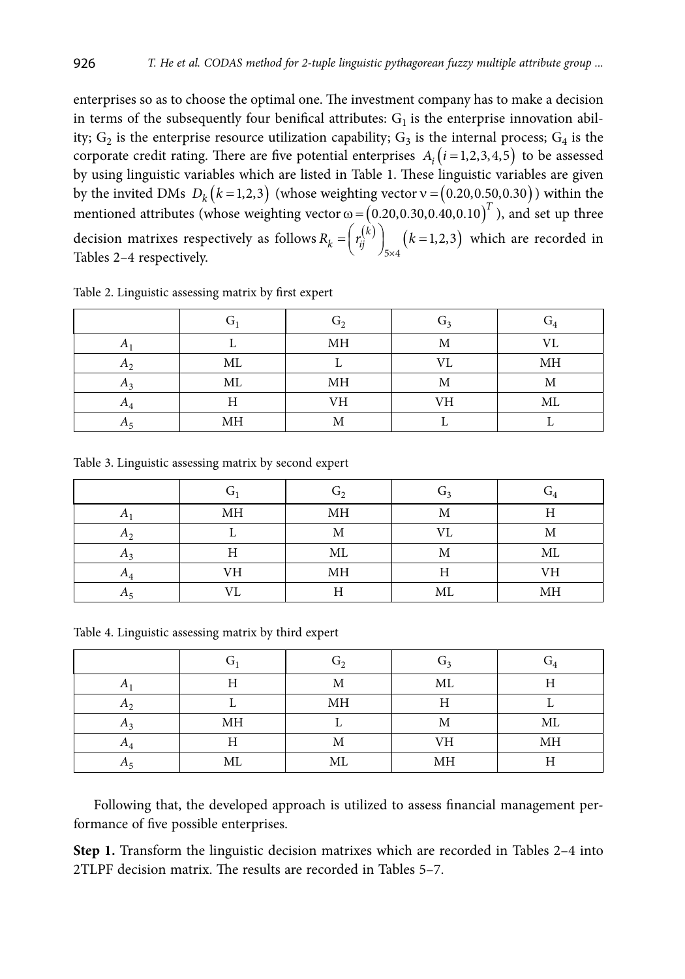enterprises so as to choose the optimal one. The investment company has to make a decision in terms of the subsequently four benifical attributes:  $G<sub>1</sub>$  is the enterprise innovation ability;  $G_2$  is the enterprise resource utilization capability;  $G_3$  is the internal process;  $G_4$  is the corporate credit rating. There are five potential enterprises  $A_i$  ( $i = 1, 2, 3, 4, 5$ ) to be assessed by using linguistic variables which are listed in Table 1. These linguistic variables are given by the invited DMs  $D_k$   $(k=1,2,3)$  (whose weighting vector  $v = (0.20,0.50,0.30)$ ) within the mentioned attributes (whose weighting vector  $\omega$  =  $(0.20,0.30,0.40,0.10)^T$ ), and set up three decision matrixes respectively as follows  $R_k = \begin{pmatrix} r_i^{(k)} \\ r_i^{(k)} \end{pmatrix}$   $(k=1,2,3)$  $R_k = \left( r_{ij}^{(k)} \right)_{5 \times 4} (k=1,2,3)$  which are recorded in Tables 2–4 respectively.

|                |    | G, | IJ٩ | $\mathrm{G}_4$ |
|----------------|----|----|-----|----------------|
|                |    | МH | М   | VL             |
| A <sub>2</sub> | МL |    | VL  | MH             |
| $\pi$          | ML | МH | М   | М              |
| $A_A$          | TT | VH | VH  | ML             |
|                | MH | Μ  |     |                |

Table 2. Linguistic assessing matrix by first expert

Table 3. Linguistic assessing matrix by second expert

|                |    | G, | G2 | $\mathrm{G}_4$ |
|----------------|----|----|----|----------------|
|                | MH | MH | М  | Η              |
| A <sub>2</sub> |    | М  | VL | Μ              |
| $A_3$          | Η  | ML | М  | ML             |
| $A_4$          | VH | MH | Н  | VH             |
|                | VL | Η  | ML | MH             |

Table 4. Linguistic assessing matrix by third expert

|                |    | G, | $G_3$     | $G_4$ |
|----------------|----|----|-----------|-------|
| $\Lambda$      |    | М  | ML        | Н     |
| $\Lambda$      |    | MH | Η         |       |
| A <sub>2</sub> | MH |    | M         | ML    |
| $A_4$          | Η  | М  | VH        | MH    |
|                | ML | ML | <b>MH</b> | Η     |

Following that, the developed approach is utilized to assess financial management performance of five possible enterprises.

**Step 1.** Transform the linguistic decision matrixes which are recorded in Tables 2–4 into 2TLPF decision matrix. The results are recorded in Tables 5–7.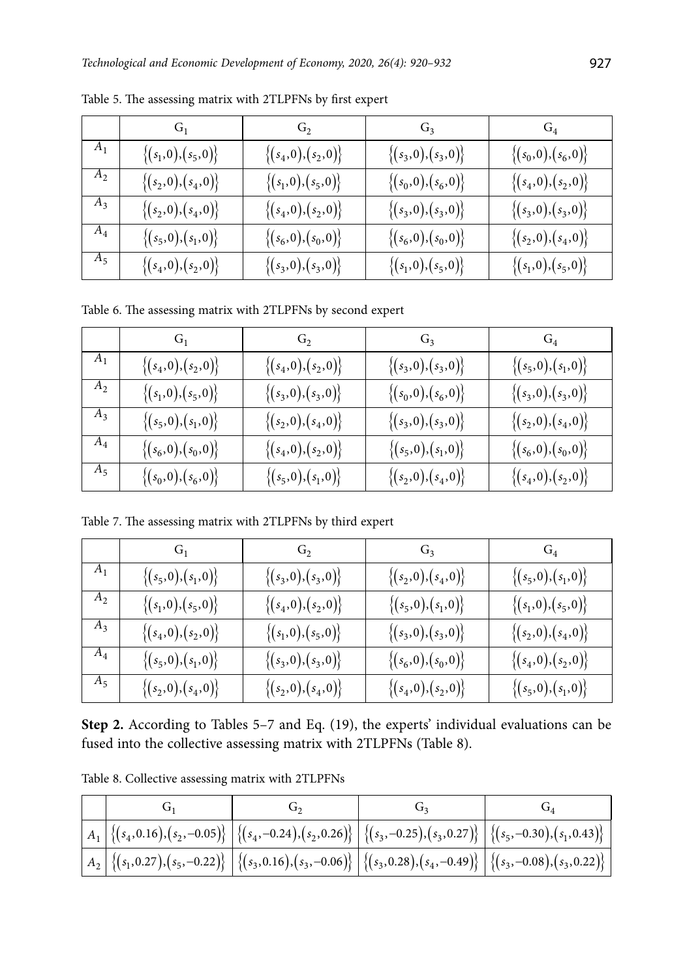|                | $G_1$                  | $G_2$                     | G <sub>3</sub>            | $G_4$                     |
|----------------|------------------------|---------------------------|---------------------------|---------------------------|
| A <sub>1</sub> | $\{(s_1,0),(s_5,0)\}\$ | $\{(s_4, 0), (s_2, 0)\}\$ | $\{(s_3,0),(s_3,0)\}\$    | $\{(s_0, 0), (s_6, 0)\}\$ |
| $A_2$          | $\{(s_2,0),(s_4,0)\}\$ | $\{(s_1, 0), (s_5, 0)\}\$ | $\{(s_0, 0), (s_6, 0)\}\$ | $\{(s_4,0),(s_2,0)\}$     |
| $A_3$          | $\{(s_2,0),(s_4,0)\}\$ | $\{(s_4,0),(s_2,0)\}\$    | $\{(s_3,0),(s_3,0)\}\$    | $\{(s_3,0),(s_3,0)\}\$    |
| $A_4$          | $\{(s_5,0),(s_1,0)\}\$ | $\{(s_6, 0), (s_0, 0)\}\$ | $\{(s_6, 0), (s_0, 0)\}\$ | $\{(s_2,0),(s_4,0)\}\$    |
| $A_5$          | $\{(s_4,0),(s_2,0)\}$  | $\{(s_3,0),(s_3,0)\}\$    | $\{(s_1,0),(s_5,0)\}\$    | $\{(s_1,0),(s_5,0)\}\$    |

Table 5. The assessing matrix with 2TLPFNs by first expert

Table 6. The assessing matrix with 2TLPFNs by second expert

|                  | G1                        | G <sub>2</sub>            | G <sub>3</sub>            | $G_4$                     |
|------------------|---------------------------|---------------------------|---------------------------|---------------------------|
| $A_1$            | $\{(s_4, 0), (s_2, 0)\}\$ | $\{(s_4, 0), (s_2, 0)\}\$ | $\{(s_3,0),(s_3,0)\}\$    | $\{(s_5,0),(s_1,0)\}\$    |
| $A_2$            | $\{(s_1,0),(s_5,0)\}\$    | $\{(s_3,0),(s_3,0)\}\$    | $\{(s_0, 0), (s_6, 0)\}\$ | $\{(s_3,0),(s_3,0)\}\$    |
| $A_3$            | $\{(s_5,0),(s_1,0)\}\$    | $\{(s_2, 0), (s_4, 0)\}\$ | $\{(s_3,0),(s_3,0)\}\$    | $\{(s_2,0),(s_4,0)\}$     |
| $A_4$            | $\{(s_6, 0), (s_0, 0)\}\$ | $\{(s_4, 0), (s_2, 0)\}\$ | $\{(s_5,0),(s_1,0)\}\$    | $\{(s_6, 0), (s_0, 0)\}\$ |
| $\overline{A_5}$ | $\{(s_0, 0), (s_6, 0)\}\$ | $\{(s_5,0),(s_1,0)\}\$    | $\{(s_2,0),(s_4,0)\}$     | $\{(s_4, 0), (s_2, 0)\}\$ |

Table 7. The assessing matrix with 2TLPFNs by third expert

|       | $G_1$                     | G <sub>2</sub>            | $G_3$                     |                           |
|-------|---------------------------|---------------------------|---------------------------|---------------------------|
| $A_1$ | $\{(s_5,0),(s_1,0)\}\$    | $\{(s_3,0),(s_3,0)\}\$    | $\{(s_2,0),(s_4,0)\}\$    | $\{(s_5,0),(s_1,0)\}\$    |
| $A_2$ | $\{(s_1,0),(s_5,0)\}\$    | $\{(s_4, 0), (s_2, 0)\}\$ | $\{(s_5,0),(s_1,0)\}\$    | $\{(s_1, 0), (s_5, 0)\}\$ |
| $A_3$ | $\{(s_4, 0), (s_2, 0)\}\$ | $\{(s_1, 0), (s_5, 0)\}\$ | $\{(s_3,0),(s_3,0)\}\$    | $\{(s_2,0),(s_4,0)\}\$    |
| $A_4$ | $\{(s_5,0),(s_1,0)\}\$    | $\{(s_3,0),(s_3,0)\}\$    | $\{(s_6, 0), (s_0, 0)\}\$ | $\{(s_4,0),(s_2,0)\}$     |
| $A_5$ | $\{(s_2,0),(s_4,0)\}\$    | $\{(s_2,0),(s_4,0)\}\$    | $\{(s_4,0),(s_2,0)\}$     | $\{(s_5,0),(s_1,0)\}\$    |

**Step 2.** According to Tables 5–7 and Eq. (19), the experts' individual evaluations can be fused into the collective assessing matrix with 2TLPFNs (Table 8).

| Table 8. Collective assessing matrix with 2TLPFNs |  |
|---------------------------------------------------|--|
|---------------------------------------------------|--|

| $\Big \,A_1\,\Big \,\big\{(s_4, 0.16), (s_2, -0.05)\big\}\,\Big \,\big\{(s_4, -0.24), (s_2, 0.26)\big\}\,\Big \,\big\{(s_3, -0.25), (s_3, 0.27)\big\}\,\Big \,\big\{(s_5, -0.30), (s_1, 0.43)\big\}\Big $                                                                                                                              |  |  |
|----------------------------------------------------------------------------------------------------------------------------------------------------------------------------------------------------------------------------------------------------------------------------------------------------------------------------------------|--|--|
| $\Big \ A_2 \Big \ \{(\textbf{\textit{s}}_1, 0.27), (\textbf{\textit{s}}_5, -0.22)\Big\}\ \Big \ \{(\textbf{\textit{s}}_3, 0.16), (\textbf{\textit{s}}_3, -0.06)\Big\}\ \Big \ \{(\textbf{\textit{s}}_3, 0.28), (\textbf{\textit{s}}_4, -0.49)\Big\}\ \Big \ \{(\textbf{\textit{s}}_3, -0.08), (\textbf{\textit{s}}_3, 0.22)\}\ \Big $ |  |  |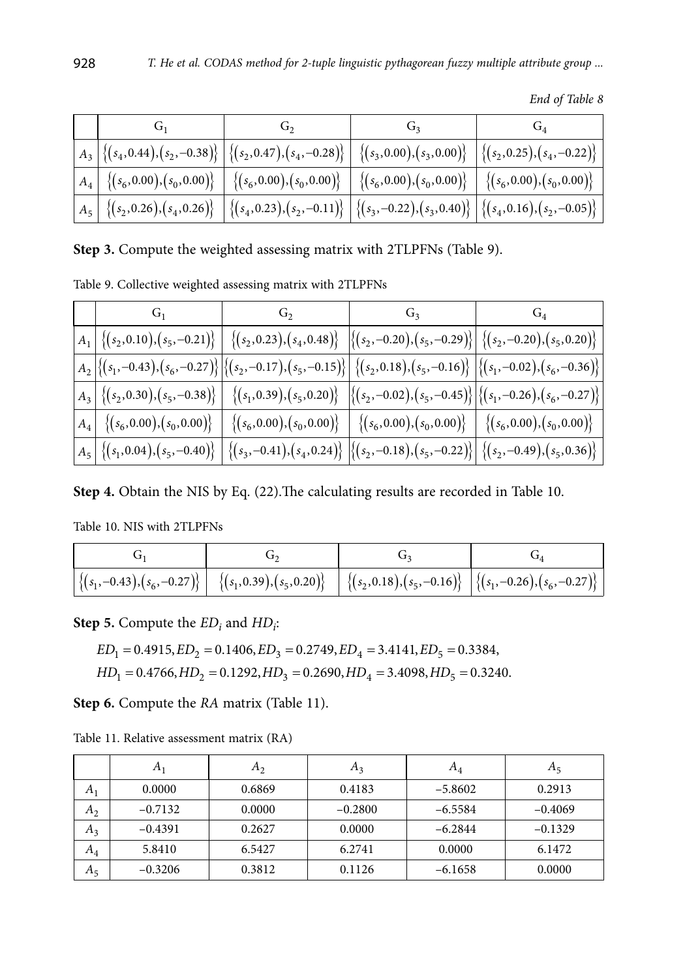| $\Big \ A_3 \Big \left\{(s_4, 0.44), (s_2, -0.38)\right\}\Big \left\{(s_2, 0.47), (s_4, -0.28)\right\}\Big \ \left\{(s_3, 0.00), (s_3, 0.00)\right\}\ \Big \left\{(s_2, 0.25), (s_4, -0.22)\right\}\Big \ \right\ $                                                |  |  |
|--------------------------------------------------------------------------------------------------------------------------------------------------------------------------------------------------------------------------------------------------------------------|--|--|
| $\Big \;A_4\,\Big \;\left\{(s_6, 0.00), (s_0, 0.00)\right\}\;\Big \;\left\{(s_6, 0.00), (s_0, 0.00)\right\}\;\Big \;\left\{(s_6, 0.00), (s_0, 0.00)\right\}\;\Big \;\left\{(s_6, 0.00), (s_0, 0.00)\right\}\;\Big \;\Big\}$                                        |  |  |
| $\Big \ A_{5}\Big \ \{(\mathfrak{s}_2, 0.26), (\mathfrak{s}_4, 0.26)\}\ \Big \ \{(\mathfrak{s}_4, 0.23), (\mathfrak{s}_2, -0.11)\}\ \Big \ \{(\mathfrak{s}_3, -0.22), (\mathfrak{s}_3, 0.40)\}\ \Big \ \{(\mathfrak{s}_4, 0.16), (\mathfrak{s}_2, -0.05)\}\ \Big $ |  |  |

*End of Table 8*

**Step 3.** Compute the weighted assessing matrix with 2TLPFNs (Table 9).

Table 9. Collective weighted assessing matrix with 2TLPFNs

|                                                                                                                                                                                                                                                                                                                        | $G_1$ $G_2$ $G_3$ $G_4$ |  |
|------------------------------------------------------------------------------------------------------------------------------------------------------------------------------------------------------------------------------------------------------------------------------------------------------------------------|-------------------------|--|
| $\left  \begin{smallmatrix} A_1 \end{smallmatrix} \right  \left\{ (s_2, 0.10), (s_5, -0.21) \right\} \left  \begin{smallmatrix} \{(s_2, 0.23), (s_4, 0.48)\} \end{smallmatrix} \right  \left\{ (s_2, -0.20), (s_5, -0.29) \right\} \left  \begin{smallmatrix} \{(s_2, -0.20), (s_5, 0.20)\} \end{smallmatrix} \right $ |                         |  |
| $\left  A_{2} \right  \left\{ (s_{1},-0.43), (s_{6},-0.27) \right\} \left  \left\{ (s_{2},-0.17), (s_{5},-0.15) \right\} \right  \left\{ (s_{2},0.18), (s_{5},-0.16) \right\} \left  \left\{ (s_{1},-0.02), (s_{6},-0.36) \right\} \right $                                                                            |                         |  |
| $\Big \,A_3\,\Big \,\big\{(s_2, 0.30), (s_5, -0.38)\big\}\,\Big \,\Big \,\big\{(s_1, 0.39), (s_5, 0.20)\big\}\,\Big \,\big\{(s_2, -0.02), (s_5, -0.45)\big\}\,\Big \big\{(s_1, -0.26), (s_6, -0.27)\big\}\Big \,$                                                                                                      |                         |  |
| $\Big \,A_4\Big \,\, \left\{(s_6, 0.00), (s_0, 0.00)\right\}\,\, \Big \,\, \left\{(s_6, 0.00), (s_0, 0.00)\right\}\,\, \Big \,\, \left\{(s_6, 0.00), (s_0, 0.00)\right\}\,\, \Big \,\, \left\{(s_6, 0.00), (s_0, 0.00)\right\}\,\, \Big \,\,$                                                                          |                         |  |
| $\Big \,A_5\,\Big \,\big\{(s_1,0.04), (s_5,-0.40)\big\}\,\Big \,\big\{(s_3,-0.41), (s_4,0.24)\big\}\,\Big \big\{(s_2,-0.18), (s_5,-0.22)\big\}\Big \,\big\{(s_2,-0.49), (s_5,0.36)\big\}\Big $                                                                                                                         |                         |  |

**Step 4.** Obtain the NIS by Eq. (22).The calculating results are recorded in Table 10.

Table 10. NIS with 2TLPFNs

| $\left  \left\{ (s_1, -0.43), (s_6, -0.27) \right\} \right  \left  \left\{ (s_1, 0.39), (s_5, 0.20) \right\} \right  \left  \left\{ (s_2, 0.18), (s_5, -0.16) \right\} \right  \left  \left\{ (s_1, -0.26), (s_6, -0.27) \right\} \right $ |  |  |
|--------------------------------------------------------------------------------------------------------------------------------------------------------------------------------------------------------------------------------------------|--|--|

**Step 5.** Compute the *ED<sub>i</sub>* and *HD<sub>i</sub>*:

 $ED_1 = 0.4915$ ,  $ED_2 = 0.1406$ ,  $ED_3 = 0.2749$ ,  $ED_4 = 3.4141$ ,  $ED_5 = 0.3384$ ,

 $HD<sub>1</sub> = 0.4766, HD<sub>2</sub> = 0.1292, HD<sub>3</sub> = 0.2690, HD<sub>4</sub> = 3.4098, HD<sub>5</sub> = 0.3240.$ 

**Step 6.** Compute the *RA* matrix (Table 11).

|                | $A_1$     | $A_2$  | $A_3$     | $A_4$     | $A_5$     |
|----------------|-----------|--------|-----------|-----------|-----------|
| $A_1$          | 0.0000    | 0.6869 | 0.4183    | $-5.8602$ | 0.2913    |
| A <sub>2</sub> | $-0.7132$ | 0.0000 | $-0.2800$ | $-6.5584$ | $-0.4069$ |
| $A_3$          | $-0.4391$ | 0.2627 | 0.0000    | $-6.2844$ | $-0.1329$ |
| $A_4$          | 5.8410    | 6.5427 | 6.2741    | 0.0000    | 6.1472    |
| $A_5$          | $-0.3206$ | 0.3812 | 0.1126    | $-6.1658$ | 0.0000    |

Table 11. Relative assessment matrix (RA)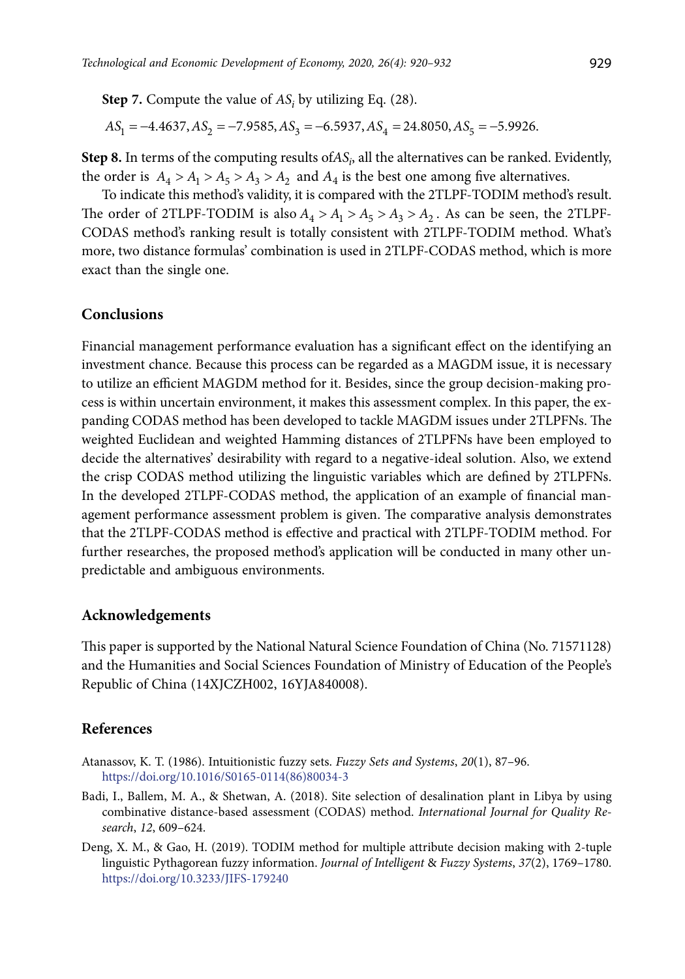**Step 7.** Compute the value of  $AS_i$  by utilizing Eq. (28).

$$
AS_1 = -4.4637, AS_2 = -7.9585, AS_3 = -6.5937, AS_4 = 24.8050, AS_5 = -5.9926.
$$

**Step 8.** In terms of the computing results ofAS<sub>i</sub>, all the alternatives can be ranked. Evidently, the order is  $A_4 > A_1 > A_5 > A_3 > A_2$  and  $A_4$  is the best one among five alternatives.

To indicate this method's validity, it is compared with the 2TLPF-TODIM method's result. The order of 2TLPF-TODIM is also  $A_4 > A_1 > A_5 > A_3 > A_2$ . As can be seen, the 2TLPF-CODAS method's ranking result is totally consistent with 2TLPF-TODIM method. What's more, two distance formulas' combination is used in 2TLPF-CODAS method, which is more exact than the single one.

### **Conclusions**

Financial management performance evaluation has a significant effect on the identifying an investment chance. Because this process can be regarded as a MAGDM issue, it is necessary to utilize an efficient MAGDM method for it. Besides, since the group decision-making process is within uncertain environment, it makes this assessment complex. In this paper, the expanding CODAS method has been developed to tackle MAGDM issues under 2TLPFNs. The weighted Euclidean and weighted Hamming distances of 2TLPFNs have been employed to decide the alternatives' desirability with regard to a negative-ideal solution. Also, we extend the crisp CODAS method utilizing the linguistic variables which are defined by 2TLPFNs. In the developed 2TLPF-CODAS method, the application of an example of financial management performance assessment problem is given. The comparative analysis demonstrates that the 2TLPF-CODAS method is effective and [practical](http://www.youdao.com/w/practical/#keyfrom=E2Ctranslation) with 2TLPF-TODIM method. For further researches, the proposed method's application will be conducted in many other unpredictable and ambiguous environments.

#### **Acknowledgements**

This paper is supported by the National Natural Science Foundation of China (No. 71571128) and the Humanities and Social Sciences Foundation of Ministry of Education of the People's Republic of China (14XJCZH002, 16YJA840008).

### **References**

- Atanassov, K. T. (1986). Intuitionistic fuzzy sets. *Fuzzy Sets and Systems*, *20*(1), 87–96. https://doi.org/10.1016/S0165-0114(86)80034-3
- Badi, I., Ballem, M. A., & Shetwan, A. (2018). Site selection of desalination plant in Libya by using combinative distance-based assessment (CODAS) method. *International Journal for Quality Research*, *12*, 609–624.
- Deng, X. M., & Gao, H. (2019). TODIM method for multiple attribute decision making with 2-tuple linguistic Pythagorean fuzzy information. *Journal of Intelligent* & *Fuzzy Systems*, *37*(2), 1769–1780. https://doi.org/10.3233/JIFS-179240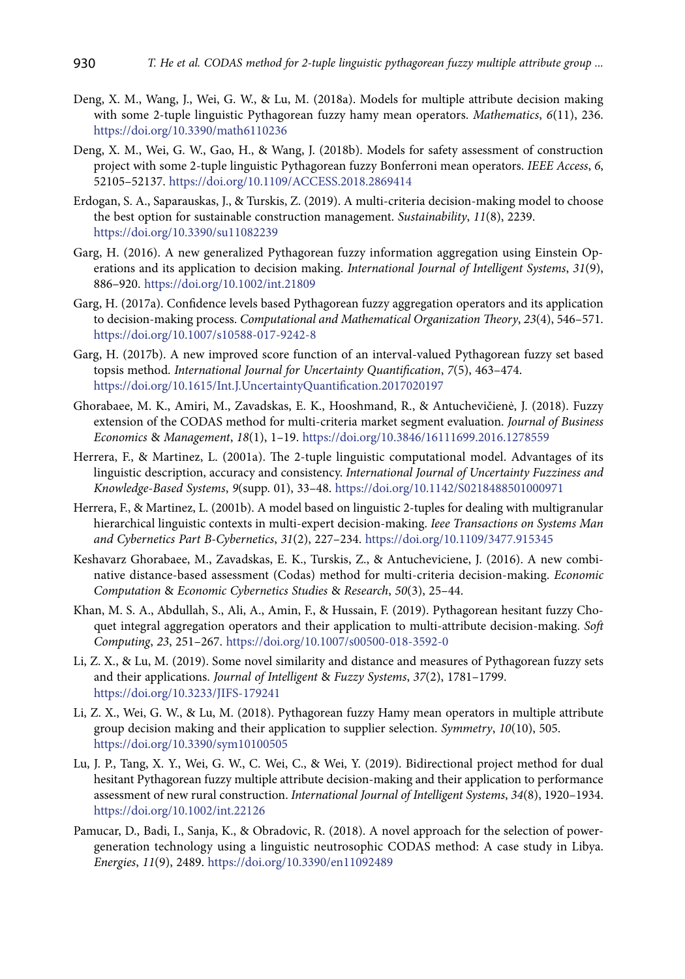- Deng, X. M., Wang, J., Wei, G. W., & Lu, M. (2018a). Models for multiple attribute decision making with some 2-tuple linguistic Pythagorean fuzzy hamy mean operators. *Mathematics*, *6*(11), 236. https://doi.org/10.3390/math6110236
- Deng, X. M., Wei, G. W., Gao, H., & Wang, J. (2018b). Models for safety assessment of construction project with some 2-tuple linguistic Pythagorean fuzzy Bonferroni mean operators. *IEEE Access*, *6*, 52105–52137. https://doi.org/10.1109/ACCESS.2018.2869414
- Erdogan, S. A., Saparauskas, J., & Turskis, Z. (2019). A multi-criteria decision-making model to choose the best option for sustainable construction management. *Sustainability*, *11*(8), 2239. https://doi.org/10.3390/su11082239
- Garg, H. (2016). A new generalized Pythagorean fuzzy information aggregation using Einstein Operations and its application to decision making. *International Journal of Intelligent Systems*, *31*(9), 886–920. https://doi.org/10.1002/int.21809
- Garg, H. (2017a). Confidence levels based Pythagorean fuzzy aggregation operators and its application to decision-making process. *Computational and Mathematical Organization Theory*, *23*(4), 546–571. https://doi.org/10.1007/s10588-017-9242-8
- Garg, H. (2017b). A new improved score function of an interval-valued Pythagorean fuzzy set based topsis method. *International Journal for Uncertainty Quantification*, *7*(5), 463–474. https://doi.org/10.1615/Int.J.UncertaintyQuantification.2017020197
- Ghorabaee, M. K., Amiri, M., Zavadskas, E. K., Hooshmand, R., & Antuchevičienė, J. (2018). Fuzzy extension of the CODAS method for multi-criteria market segment evaluation. *Journal of Business Economics* & *Management*, *18*(1), 1–19. https://doi.org/10.3846/16111699.2016.1278559
- Herrera, F., & Martinez, L. (2001a). The 2-tuple linguistic computational model. Advantages of its linguistic description, accuracy and consistency. *International Journal of Uncertainty Fuzziness and Knowledge-Based Systems*, *9*(supp. 01), 33–48. https://doi.org/10.1142/S0218488501000971
- Herrera, F., & Martinez, L. (2001b). A model based on linguistic 2-tuples for dealing with multigranular hierarchical linguistic contexts in multi-expert decision-making. *Ieee Transactions on Systems Man and Cybernetics Part B-Cybernetics*, *31*(2), 227–234. https://doi.org/10.1109/3477.915345
- Keshavarz Ghorabaee, M., Zavadskas, E. K., Turskis, Z., & Antucheviciene, J. (2016). A new combinative distance-based assessment (Codas) method for multi-criteria decision-making. *Economic Computation* & *Economic Cybernetics Studies* & *Research*, *50*(3), 25–44.
- Khan, M. S. A., Abdullah, S., Ali, A., Amin, F., & Hussain, F. (2019). Pythagorean hesitant fuzzy Choquet integral aggregation operators and their application to multi-attribute decision-making. *Soft Computing*, *23*, 251–267. https://doi.org/10.1007/s00500-018-3592-0
- Li, Z. X., & Lu, M. (2019). Some novel similarity and distance and measures of Pythagorean fuzzy sets and their applications. *Journal of Intelligent* & *Fuzzy Systems*, *37*(2), 1781–1799. https://doi.org/10.3233/JIFS-179241
- Li, Z. X., Wei, G. W., & Lu, M. (2018). Pythagorean fuzzy Hamy mean operators in multiple attribute group decision making and their application to supplier selection. *Symmetry*, *10*(10), 505. https://doi.org/10.3390/sym10100505
- Lu, J. P., Tang, X. Y., Wei, G. W., C. Wei, C., & Wei, Y. (2019). Bidirectional project method for dual hesitant Pythagorean fuzzy multiple attribute decision-making and their application to performance assessment of new rural construction. *International Journal of Intelligent Systems*, *34*(8), 1920–1934. https://doi.org/10.1002/int.22126
- Pamucar, D., Badi, I., Sanja, K., & Obradovic, R. (2018). A novel approach for the selection of powergeneration technology using a linguistic neutrosophic CODAS method: A case study in Libya. *Energies*, *11*(9), 2489. https://doi.org/10.3390/en11092489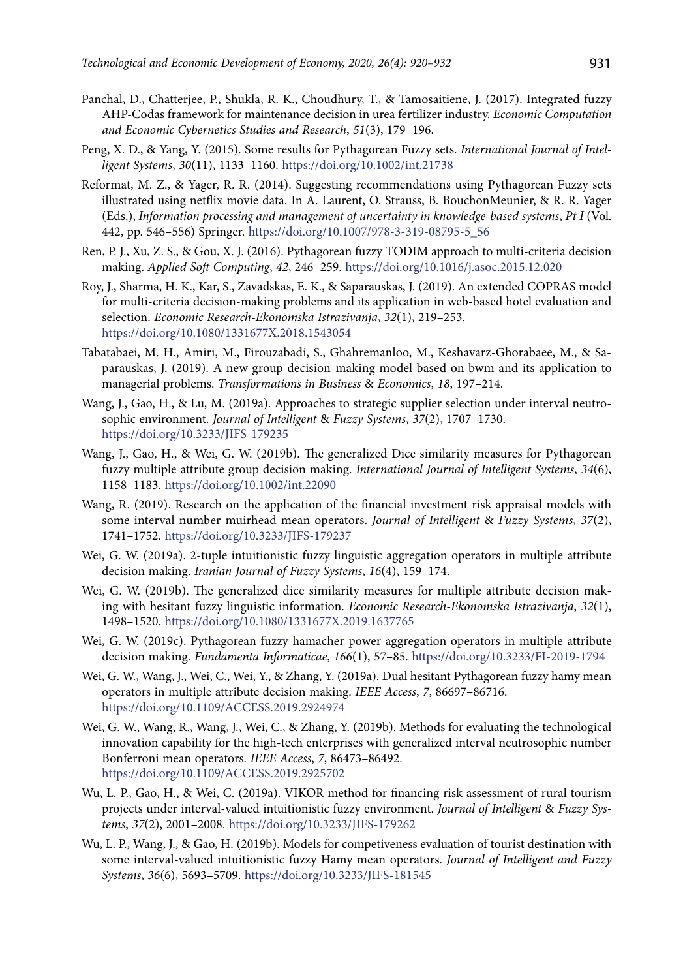- Panchal, D., Chatterjee, P., Shukla, R. K., Choudhury, T., & Tamosaitiene, J. (2017). Integrated fuzzy AHP-Codas framework for maintenance decision in urea fertilizer industry. *Economic Computation and Economic Cybernetics Studies and Research*, *51*(3), 179–196.
- Peng, X. D., & Yang, Y. (2015). Some results for Pythagorean Fuzzy sets. *International Journal of Intelligent Systems*, *30*(11), 1133–1160. https://doi.org/10.1002/int.21738
- Reformat, M. Z., & Yager, R. R. (2014). Suggesting recommendations using Pythagorean Fuzzy sets illustrated using netflix movie data. In A. Laurent, O. Strauss, B. BouchonMeunier, & R. R. Yager (Eds.), *Information processing and management of uncertainty in knowledge-based systems*, *Pt I* (Vol. 442, pp. 546–556) Springer. https://doi.org/10.1007/978-3-319-08795-5\_56
- Ren, P. J., Xu, Z. S., & Gou, X. J. (2016). Pythagorean fuzzy TODIM approach to multi-criteria decision making. *Applied Soft Computing*, *42*, 246–259. https://doi.org/10.1016/j.asoc.2015.12.020
- Roy, J., Sharma, H. K., Kar, S., Zavadskas, E. K., & Saparauskas, J. (2019). An extended COPRAS model for multi-criteria decision-making problems and its application in web-based hotel evaluation and selection. *Economic Research-Ekonomska Istrazivanja*, *32*(1), 219–253. https://doi.org/10.1080/1331677X.2018.1543054
- Tabatabaei, M. H., Amiri, M., Firouzabadi, S., Ghahremanloo, M., Keshavarz-Ghorabaee, M., & Saparauskas, J. (2019). A new group decision-making model based on bwm and its application to managerial problems. *Transformations in Business* & *Economics*, *18*, 197–214.
- Wang, J., Gao, H., & Lu, M. (2019a). Approaches to strategic supplier selection under interval neutrosophic environment. *Journal of Intelligent* & *Fuzzy Systems*, *37*(2), 1707–1730. https://doi.org/10.3233/JIFS-179235
- Wang, J., Gao, H., & Wei, G. W. (2019b). The generalized Dice similarity measures for Pythagorean fuzzy multiple attribute group decision making. *International Journal of Intelligent Systems*, *34*(6), 1158–1183. https://doi.org/10.1002/int.22090
- Wang, R. (2019). Research on the application of the financial investment risk appraisal models with some interval number muirhead mean operators. *Journal of Intelligent* & *Fuzzy Systems*, *37*(2), 1741–1752. https://doi.org/10.3233/JIFS-179237
- Wei, G. W. (2019a). 2-tuple intuitionistic fuzzy linguistic aggregation operators in multiple attribute decision making. *Iranian Journal of Fuzzy Systems*, *16*(4), 159–174.
- Wei, G. W. (2019b). The generalized dice similarity measures for multiple attribute decision making with hesitant fuzzy linguistic information. *Economic Research-Ekonomska Istrazivanja*, *32*(1), 1498–1520. https://doi.org/10.1080/1331677X.2019.1637765
- Wei, G. W. (2019c). Pythagorean fuzzy hamacher power aggregation operators in multiple attribute decision making. *Fundamenta Informaticae*, *166*(1), 57–85. https://doi.org/10.3233/FI-2019-1794
- Wei, G. W., Wang, J., Wei, C., Wei, Y., & Zhang, Y. (2019a). Dual hesitant Pythagorean fuzzy hamy mean operators in multiple attribute decision making. *IEEE Access*, *7*, 86697–86716. https://doi.org/10.1109/ACCESS.2019.2924974
- Wei, G. W., Wang, R., Wang, J., Wei, C., & Zhang, Y. (2019b). Methods for evaluating the technological innovation capability for the high-tech enterprises with generalized interval neutrosophic number Bonferroni mean operators. *IEEE Access*, *7*, 86473–86492. https://doi.org/10.1109/ACCESS.2019.2925702
- Wu, L. P., Gao, H., & Wei, C. (2019a). VIKOR method for financing risk assessment of rural tourism projects under interval-valued intuitionistic fuzzy environment. *Journal of Intelligent* & *Fuzzy Systems*, *37*(2), 2001–2008. https://doi.org/10.3233/JIFS-179262
- Wu, L. P., Wang, J., & Gao, H. (2019b). Models for competiveness evaluation of tourist destination with some interval-valued intuitionistic fuzzy Hamy mean operators. *Journal of Intelligent and Fuzzy Systems*, *36*(6), 5693–5709. https://doi.org/10.3233/JIFS-181545